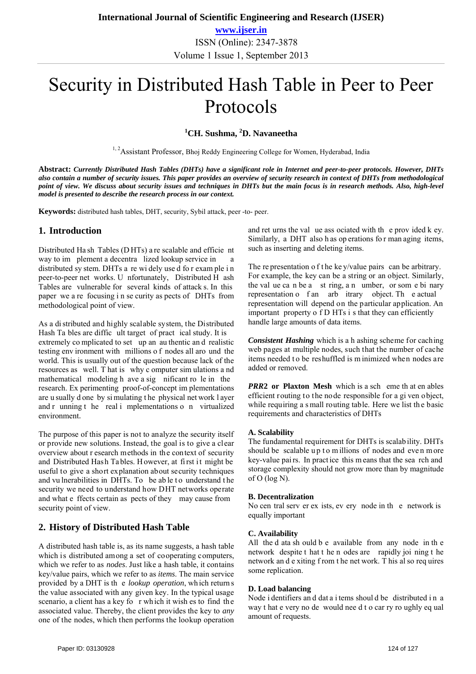# Security in Distributed Hash Table in Peer to Peer Protocols

## **1 CH. Sushma, <sup>2</sup> D. Navaneetha**

<sup>1, 2</sup>Assistant Professor, Bhoj Reddy Engineering College for Women, Hyderabad, India

**Abstract:** *Currently Distributed Hash Tables (DHTs) have a significant role in Internet and peer-to-peer protocols. However, DHTs also contain a number of security issues. This paper provides an overview of security research in context of DHTs from methodological point of view. We discuss about security issues and techniques in DHTs but the main focus is in research methods. Also, high-level model is presented to describe the research process in our context.* 

**Keywords:** distributed hash tables, DHT, security, Sybil attack, peer -to- peer.

## **1. Introduction**

Distributed Ha sh Tables (D HTs) a re scalable and efficie nt way to im plement a decentra lized lookup service in distributed sy stem. DHTs a re wi dely use d fo r exam ple i n peer-to-peer net works. U nfortunately, Distributed H ash Tables are vulnerable for several kinds of attack s. In this paper we a re focusing i n se curity as pects of DHTs from methodological point of view.

As a di stributed and highly scalable system, the Distributed Hash Ta bles are diffic ult target of pract ical study. It is extremely complicated to set up an au thentic and realistic testing env ironment with millions o f nodes all aro und the world. This is usually out of the question because lack of the resources as well. T hat is why c omputer sim ulations a nd mathematical modeling h ave a sig nificant ro le in the research. Ex perimenting proof-of-concept im plementations are u sually d one by si mulating t he physical net work l ayer and r unning t he real i mplementations o n virtualized environment.

The purpose of this paper is not to analyze the security itself or provide new solutions. Instead, the goal is to give a clear overview about r esearch methods in the context of security and Distributed Hash Tables. However, at first it might be useful to give a short explanation about security techniques and vu lnerabilities in DHTs. To be able to understand the security we need to understand how DHT networks operate and what e ffects certain as pects of they may cause from security point of view.

## **2. History of Distributed Hash Table**

A distributed hash table is, as its name suggests, a hash table which is distributed among a set of cooperating computers, which we refer to as *nodes*. Just like a hash table, it contains key/value pairs, which we refer to as *items*. The main service provided by a DHT is th e *lookup operation*, wh ich return s the value associated with any given key. In the typical usage scenario, a client has a key fo r which it wish es to find the associated value. Thereby, the client provides the key to *any*  one of the nodes, which then performs the lookup operation and ret urns the val ue ass ociated with th e prov ided k ey. Similarly, a DHT also h as op erations fo r man aging items, such as inserting and deleting items.

The representation of the ke y/value pairs can be arbitrary. For example, the key can be a string or an object. Similarly, the val ue ca n be a st ring, a n umber, or som e bi nary representation o f an arb itrary object. The actual representation will depend on the particular application. An important property o f D HTs i s that they can efficiently handle large amounts of data items.

*Consistent Hashing* which is a h ashing scheme for caching web pages at multiple nodes, such that the number of cache items needed t o be reshuffled is m inimized when nodes are added or removed.

*PRR***2 or Plaxton Mesh** which is a sch eme th at en ables efficient routing to the node responsible for a gi ven object, while requiring a small routing table. Here we list the basic requirements and characteristics of DHTs

## **A. Scalability**

The fundamental requirement for DHTs is scalab ility. DHTs should be scalable up to m illions of nodes and even more key-value pai rs. In pract ice this m eans that the sea rch and storage complexity should not grow more than by magnitude of O (log N).

## **B. Decentralization**

No cen tral serv er ex ists, ev ery node in th e network is equally important

## **C. Availability**

All the d ata sh ould b e available from any node in th e network despite t hat t he n odes are rapidly joi ning t he network an d e xiting f rom t he net work. T his al so req uires some replication.

## **D. Load balancing**

Node i dentifiers and dat a i tems should be distributed in a way t hat e very no de would nee d t o car ry ro ughly eq ual amount of requests.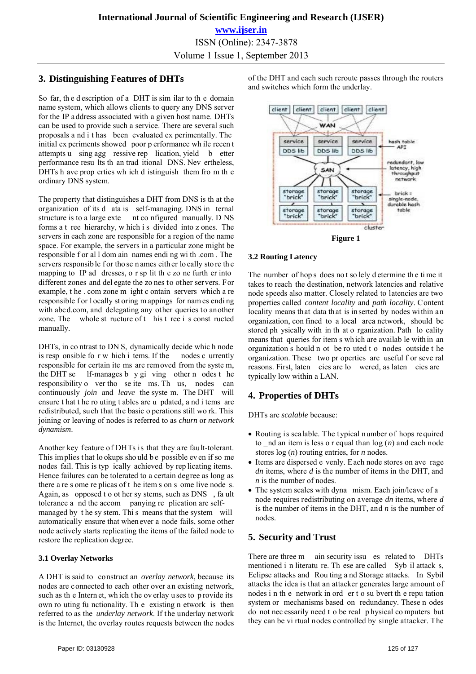# **3. Distinguishing Features of DHTs**

So far, th e d escription of a DHT is sim ilar to th e domain name system, which allows clients to query any DNS server for the IP address associated with a given host name. DHTs can be used to provide such a service. There are several such proposals a nd i t has been evaluated ex perimentally. The initial ex periments showed poor p erformance wh ile recen t attempts u sing agg ressive rep lication, yield b etter performance resu lts th an trad itional DNS. Nev ertheless, DHTs h ave prop erties wh ich d istinguish them fro m th e ordinary DNS system.

The property that distinguishes a DHT from DNS is th at the organization of its d ata is self-managing. DNS in ternal structure is to a large exte nt co nfigured manually. D NS forms a t ree hierarchy, w hich i s divided into z ones. The servers in each zone are responsible for a region of the name space. For example, the servers in a particular zone might be responsible f or al l dom ain names endi ng wi th .com . The servers responsible for tho se n ames either lo cally sto re the mapping to IP ad dresses, o r sp lit th e zo ne furth er into different zones and del egate the zo nes to other servers. For example, t he . com zone m ight c ontain servers which a re responsible for l ocally st oring m appings for names ending with abcd.com, and delegating any other queries to another zone. The whole st ructure of t his t ree i s const ructed manually.

DHTs, in co ntrast to DN S, dynamically decide whic h node is resp onsible fo r w hich i tems. If the nodes c urrently responsible for certain ite ms are removed from the syste m, the DHT se lf-manages b y gi ving other n odes t he responsibility o ver tho se ite ms. Th us, nodes can continuously *join* and *leave* the syste m. The DHT will ensure t hat t he ro uting t ables are u pdated, a nd i tems are redistributed, such that the basic o perations still wo rk. This joining or leaving of nodes is referred to as *churn* or *network dynamism*.

Another key feature of DHTs is that they are fault-tolerant. This implies that lookups should be possible even if so me nodes fail. This is typ ically achieved by rep licating items. Hence failures can be tolerated to a certain degree as long as there a re s ome re plicas of t he item s on s ome live node s. Again, as opposed t o ot her sy stems, such as DNS , fa ult tolerance a nd the accom panying re plication are selfmanaged by t he sy stem. Thi s means that the system will automatically ensure that when ever a node fails, some other node actively starts replicating the items of the failed node to restore the replication degree.

## **3.1 Overlay Networks**

A DHT is said to construct an *overlay network*, because its nodes are connected to each other over an existing network, such as th e Intern et, wh ich t he ov erlay u ses to p rovide its own ro uting fu nctionality. Th e existing n etwork is then referred to as the *underlay network*. If the underlay network is the Internet, the overlay routes requests between the nodes of the DHT and each such reroute passes through the routers and switches which form the underlay.



## **3.2 Routing Latency**

The number of hop s does no t so lely d etermine th e ti me it takes to reach the destination, network latencies and relative node speeds also matter. Closely related to latencies are two properties called *content locality* and *path locality*. Content locality means that data that is inserted by nodes within an organization, con fined to a local area network, should be stored ph ysically with in th at o rganization. Path lo cality means that queries for item s wh ich are availab le with in an organization s hould n ot be ro uted t o nodes outside t he organization. These two pr operties are useful f or seve ral reasons. First, laten cies are lo wered, as laten cies are typically low within a LAN.

# **4. Properties of DHTs**

DHTs are *scalable* because:

- Routing is scalable. The typical number of hops required to  $\pi$  nd an item is less o r equal than  $\log(n)$  and each node stores log (*n*) routing entries, for *n* nodes.
- Items are dispersed e venly. Each node stores on ave rage *dn* items, where *d* is the number of items in the DHT, and *n* is the number of nodes.
- The system scales with dyna mism. Each join/leave of a node requires redistributing on average *dn* items, where *d*  is the number of items in the DHT, and *n* is the number of nodes.

## **5. Security and Trust**

There are three m ain security issu es related to DHTs mentioned i n literatu re. Th ese are called Syb il attack s, Eclipse attacks and Rou ting a nd Storage attacks. In Sybil attacks the idea is that an attacker generates large amount of nodes i n th e network in ord er t o su bvert th e repu tation system or mechanisms based on redundancy. These n odes do not nec essarily need t o be real p hysical co mputers but they can be vi rtual nodes controlled by single attacker. The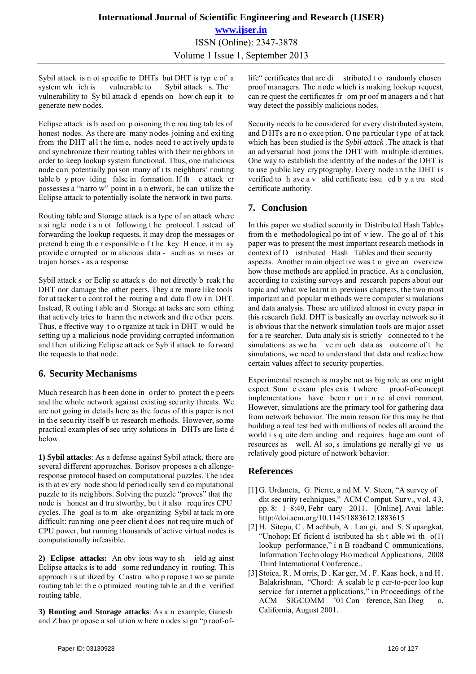Sybil attack is n ot sp ecific to DHTs but DHT is typ e of a system wh ich is vulnerable to Sybil attack s. The vulnerability to Sy bil attack d epends on how ch eap it to generate new nodes.

Eclipse attack is b ased on p oisoning th e rou ting tab les of honest nodes. As there are many nodes joining and exiting from the DHT all the time, nodes need to actively update and synchronize their routing tables with their neighbors in order to keep lookup system functional. Thus, one malicious node can potentially poison many of i ts neighbors' routing table b y prov iding false in formation. If th e attack er possesses a "narro w" point in a n etwork, he can utilize the Eclipse attack to potentially isolate the network in two parts.

Routing table and Storage attack is a type of an attack where a si ngle node i s n ot following t he protocol. I nstead of forwarding the lookup requests, it may drop the messages or pretend b eing th e r esponsible o f t he key. H ence, it m ay provide c orrupted or m alicious data - such as vi ruses or trojan horses - as a response

Sybil attack s or Eclip se attack s do not directly b reak t he DHT nor damage the other peers. They a re more like tools for at tacker to control the routing and data flow in DHT. Instead, R outing t able an d Storage at tacks are som ething that actively tries to harm th e network and the other peers. Thus, e ffective way t o o rganize at tack i n DHT w ould be setting up a malicious node providing corrupted information and then utilizing Eclip se attack or Syb il attack to fo rward the requests to that node.

## **6. Security Mechanisms**

Much r esearch h as b een done in order to protect the p eers and the whole network against existing security threats. We are not going in details here as the focus of this paper is not in the security itself b ut research methods. However, so me practical examples of sec urity solutions in DHTs are liste d below.

**1) Sybil attacks**: As a defense against Sybil attack, there are several different approaches. Borisov proposes a ch allengeresponse protocol based on computational puzzles. The idea is th at ev ery node shou ld period ically sen d co mputational puzzle to its neighbors. Solving the puzzle "proves" that the node is honest an d tru stworthy, bu t it also requ ires CPU cycles. The goal is to m ake organizing Sybil at tack m ore difficult: run ning one p eer client does not req uire much of CPU power, but running thousands of active virtual nodes is computationally infeasible.

**2) Eclipse attacks:** An obv ious way to sh ield ag ainst Eclipse attack s is to add some red undancy in routing. Th is approach i s ut ilized by C astro who p ropose t wo se parate routing tab le: th e o ptimized routing tab le an d th e verified routing table.

**3) Routing and Storage attacks**: As a n example, Ganesh and Z hao pr opose a sol ution w here n odes si gn "p roof-oflife" certificates that are di stributed t o randomly chosen proof managers. The node which is making lookup request, can re quest the certificates fr om pr oof m anagers a nd t hat way detect the possibly malicious nodes.

Security needs to be considered for every distributed system, and D HTs a re n o exce ption. O ne pa rticular t ype of at tack which has been studied is the *Sybil attack* .The attack is t hat an ad versarial host joins t he DHT with m ultiple id entities. One way to establish the identity of the nodes of the DHT is to use public key cryptography. Every node in the DHT is verified to h ave a v alid certificate issu ed b y a tru sted certificate authority.

# **7. Conclusion**

In this paper we studied security in Distributed Hash Tables from th e methodological po int of v iew. The go al of t his paper was to present the most important research methods in context of D istributed Hash Tables and their security aspects. Another m ain object ive was t o give an overview how those methods are applied in practice. As a conclusion, according to existing surveys and research papers about our topic and what we lea rnt in previous chapters, the two most important an d popular m ethods we re com puter si mulations and data analysis. Those are utilized almost in every paper in this research field. DHT is basically an overlay network so it is obvious that the network simulation tools are m ajor asset for a re searcher. Data analy sis is strictly connected to t he simulations: as we ha ve m uch data as outcome of the simulations, we need to understand that data and realize how certain values affect to security properties.

Experimental research is maybe not as big role as one might expect. Som e exam ples exis t where proof-of-concept implementations have been r un i n re al envi ronment. However, simulations are the primary tool for gathering data from network behavior. The main reason for this may be that building a real test bed with millions of nodes all around the world i s q uite dem anding and requires huge am ount of resources as well. Al so, s imulations ge nerally gi ve us relatively good picture of network behavior.

# **References**

- [1] G. Urdaneta, G. Pierre, a nd M. V. Steen, "A survey of dht sec urity t echniques," ACM C omput. Sur v., v ol. 4 3, pp. 8: 1–8:49, Febr uary 2011. [Online]. Avai lable: http://doi.acm.org/10.1145/1883612.1883615
- [2] H. Sitepu, C . M achbub, A . Lan gi, and S. S upangkat, "Unohop: Ef ficient d istributed ha sh t able wi th  $o(1)$ lookup performance," i n B roadband C ommunications, Information Techn ology Bio medical Applications, 2008 Third International Conference..
- [3] Stoica, R. M orris, D. Kar ger, M. F. Kaas hoek, and H. Balakrishnan, "Chord: A scalab le p eer-to-peer loo kup service for internet a pplications," in Proceedings of the ACM SIGCOMM '01 Con ference, San Dieg California, August 2001.